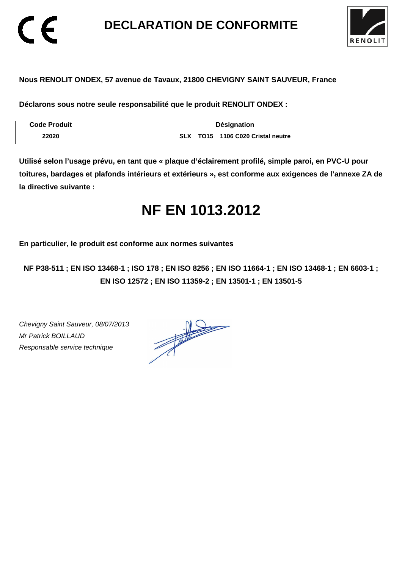**DECLARATION DE CONFORMITE** 



#### **Nous RENOLIT ONDEX, 57 avenue de Tavaux, 21800 CHEVIGNY SAINT SAUVEUR, France**

**Déclarons sous notre seule responsabilité que le produit RENOLIT ONDEX :** 

| <b>Code Produit</b> | <b>Désignation</b>                                    |
|---------------------|-------------------------------------------------------|
| 22020               | 1106 C020 Cristal neutre<br><b>TO15</b><br><b>SLX</b> |

**Utilisé selon l'usage prévu, en tant que « plaque d'éclairement profilé, simple paroi, en PVC-U pour toitures, bardages et plafonds intérieurs et extérieurs », est conforme aux exigences de l'annexe ZA de la directive suivante :** 

# **NF EN 1013.2012**

**En particulier, le produit est conforme aux normes suivantes** 

**NF P38-511 ; EN ISO 13468-1 ; ISO 178 ; EN ISO 8256 ; EN ISO 11664-1 ; EN ISO 13468-1 ; EN 6603-1 ; EN ISO 12572 ; EN ISO 11359-2 ; EN 13501-1 ; EN 13501-5**

Chevigny Saint Sauveur, 08/07/2013 Mr Patrick BOILLAUD Responsable service technique

 $\epsilon$ 

 $\frac{1}{\sqrt{2\pi}}\int_{0}^{\frac{1}{2}}\frac{dx}{(x-y)^{2}}\,dy\,dy=0$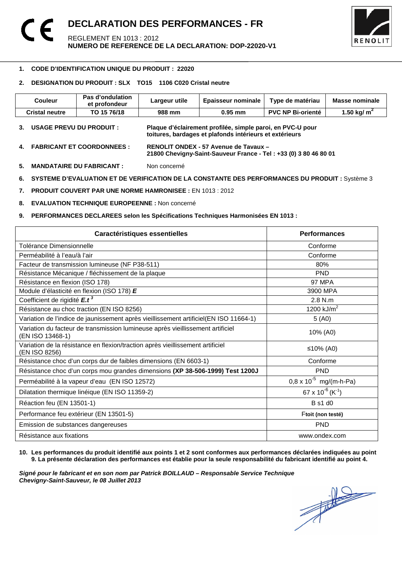

#### 1 **1. CODE D'IDENTIFICATION UNIQUE DU PRODUIT : 22020**

#### **2. DESIGNATION DU PRODUIT : SLX TO15 1106 C020 Cristal neutre**

| <b>Couleur</b>        | Pas d'ondulation<br>et profondeur | Largeur utile | <b>Epaisseur nominale</b>                                                                                             | Type de matériau         | <b>Masse nominale</b> |
|-----------------------|-----------------------------------|---------------|-----------------------------------------------------------------------------------------------------------------------|--------------------------|-----------------------|
| <b>Cristal neutre</b> | TO 15 76/18                       | 988 mm        | $0.95$ mm                                                                                                             | <b>PVC NP Bi-orienté</b> | 1.50 kg/ $m^2$        |
|                       | <b>USAGE PREVU DU PRODUIT :</b>   |               | Plaque d'éclairement profilée, simple paroi, en PVC-U pour<br>toitures, bardages et plafonds intérieurs et extérieurs |                          |                       |
| 4.                    | <b>FABRICANT ET COORDONNEES :</b> |               | RENOLIT ONDEX - 57 Avenue de Tavaux -<br>21800 Chevigny-Saint-Sauveur France - Tel: +33 (0) 3 80 46 80 01             |                          |                       |

**5. MANDATAIRE DU FABRICANT :** Non concerné

**6. SYSTEME D'EVALUATION ET DE VERIFICATION DE LA CONSTANTE DES PERFORMANCES DU PRODUIT :** Système 3

**7. PRODUIT COUVERT PAR UNE NORME HAMRONISEE :** EN 1013 : 2012

**8. EVALUATION TECHNIQUE EUROPEENNE :** Non concerné

#### **9. PERFORMANCES DECLAREES selon les Spécifications Techniques Harmonisées EN 1013 :**

| Caractéristiques essentielles                                                                      | <b>Performances</b>               |
|----------------------------------------------------------------------------------------------------|-----------------------------------|
| Tolérance Dimensionnelle                                                                           | Conforme                          |
| Perméabilité à l'eau/à l'air                                                                       | Conforme                          |
| Facteur de transmission lumineuse (NF P38-511)                                                     | 80%                               |
| Résistance Mécanique / fléchissement de la plaque                                                  | <b>PND</b>                        |
| Résistance en flexion (ISO 178)                                                                    | <b>97 MPA</b>                     |
| Module d'élasticité en flexion (ISO 178) E                                                         | 3900 MPA                          |
| Coefficient de rigidité $E.t^3$                                                                    | $2.8$ N.m.                        |
| Résistance au choc traction (EN ISO 8256)                                                          | 1200 kJ/ $m^2$                    |
| Variation de l'indice de jaunissement après vieillissement artificiel(EN ISO 11664-1)              | 5(40)                             |
| Variation du facteur de transmission lumineuse après vieillissement artificiel<br>(EN ISO 13468-1) | 10% (A0)                          |
| Variation de la résistance en flexion/traction après vieillissement artificiel<br>(EN ISO 8256)    | ≤10% (A0)                         |
| Résistance choc d'un corps dur de faibles dimensions (EN 6603-1)                                   | Conforme                          |
| Résistance choc d'un corps mou grandes dimensions (XP 38-506-1999) Test 1200J                      | <b>PND</b>                        |
| Perméabilité à la vapeur d'eau (EN ISO 12572)                                                      | $0.8 \times 10^{-5}$ mg/(m-h-Pa)  |
| Dilatation thermique linéique (EN ISO 11359-2)                                                     | 67 x $10^{-6}$ (K <sup>-1</sup> ) |
| Réaction feu (EN 13501-1)                                                                          | <b>B</b> s1 d0                    |
| Performance feu extérieur (EN 13501-5)                                                             | Ftoit (non testé)                 |
| Emission de substances dangereuses                                                                 | <b>PND</b>                        |
| Résistance aux fixations                                                                           | www.ondex.com                     |

#### **10. Les performances du produit identifié aux points 1 et 2 sont conformes aux performances déclarées indiquées au point 9. La présente déclaration des performances est établie pour la seule responsabilité du fabricant identifié au point 4.**

Signé pour le fabricant et en son nom par Patrick BOILLAUD – Responsable Service Technique<br>Chevigny-Saint-Sauveur, le 08 Juillet 2013<br> **Chevigny-Saint-Sauveur, le 08 Juillet 2013 Chevigny-Saint-Sauveur, le 08 Juillet 2013**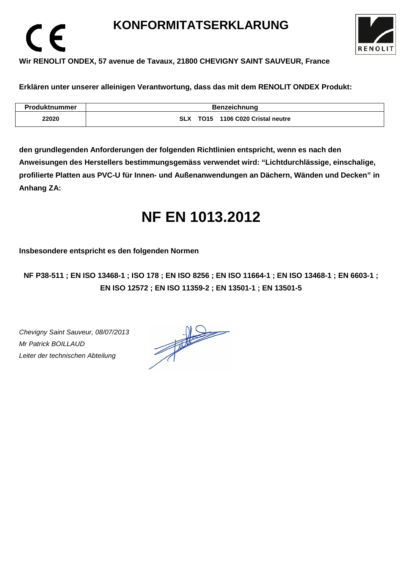### **KONFORMITATSERKLARUNG**



### **Wir RENOLIT ONDEX, 57 avenue de Tavaux, 21800 CHEVIGNY SAINT SAUVEUR, France**

**Erklären unter unserer alleinigen Verantwortung, dass das mit dem RENOLIT ONDEX Produkt:** 

| <b>Produktnummer</b> | <b>Benzeichnung</b>               |  |  |
|----------------------|-----------------------------------|--|--|
| 22020                | SLX TO15 1106 C020 Cristal neutre |  |  |

**den grundlegenden Anforderungen der folgenden Richtlinien entspricht, wenn es nach den Anweisungen des Herstellers bestimmungsgemäss verwendet wird: "Lichtdurchlässige, einschalige, profilierte Platten aus PVC-U für Innen- und Außenanwendungen an Dächern, Wänden und Decken" in Anhang ZA:** 

## **NF EN 1013.2012**

**Insbesondere entspricht es den folgenden Normen** 

**NF P38-511 ; EN ISO 13468-1 ; ISO 178 ; EN ISO 8256 ; EN ISO 11664-1 ; EN ISO 13468-1 ; EN 6603-1 ; EN ISO 12572 ; EN ISO 11359-2 ; EN 13501-1 ; EN 13501-5**

Chevigny Saint Sauveur, 08/07/2013 Mr Patrick BOILLAUD Leiter der technischen Abteilung

 $\epsilon$ 

 $\frac{1}{\sqrt{1-\frac{1}{2}}}\left\vert \frac{1}{\sqrt{1-\frac{1}{2}}}\right\vert = \frac{1}{\sqrt{1-\frac{1}{2}}}\left\vert \frac{1}{\sqrt{1-\frac{1}{2}}}\right\vert.$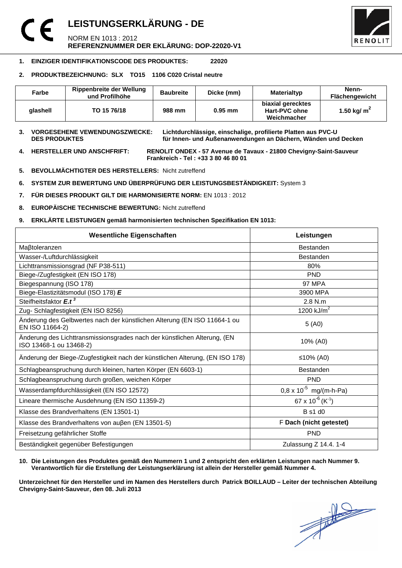### **LEISTUNGSERKLÄRUNG - DE**  NORM EN 1013 : 2012 **REFERENZNUMMER DER EKLÄRUNG: DOP-22020-V1**



#### **1. EINZIGER IDENTIFIKATIONSCODE DES PRODUKTES: 22020**

#### **2. PRODUKTBEZEICHNUNG: SLX TO15 1106 C020 Cristal neutre**

| Farbe    | <b>Rippenbreite der Wellung</b><br>und Profilhöhe | <b>Baubreite</b> | Dicke (mm) | Materialtyp                                       | Nenn-<br>Flächengewicht |
|----------|---------------------------------------------------|------------------|------------|---------------------------------------------------|-------------------------|
| alashell | TO 15 76/18                                       | 988 mm           | $0.95$ mm  | biaxial gerecktes<br>Hart-PVC ohne<br>Weichmacher | 1.50 kg/ $m2$           |

**3. VORGESEHENE VEWENDUNGSZWECKE: Lichtdurchlässige, einschalige, profilierte Platten aus PVC-U**  für Innen- und Außenanwendungen an Dächern, Wänden und Decken

**4. HERSTELLER UND ANSCHFRIFT: RENOLIT ONDEX - 57 Avenue de Tavaux - 21800 Chevigny-Saint-Sauveur Frankreich - Tel : +33 3 80 46 80 01** 

- **5. BEVOLLMÄCHTIGTER DES HERSTELLERS:** Nicht zutreffend
- **6. SYSTEM ZUR BEWERTUNG UND ÜBERPRÜFUNG DER LEISTUNGSBESTÄNDIGKEIT:** System 3
- **7. FÜR DIESES PRODUKT GILT DIE HARMONISIERTE NORM:** EN 1013 : 2012
- **8. EUROPÄISCHE TECHNISCHE BEWERTUNG:** Nicht zutreffend
- **9. ERKLÄRTE LEISTUNGEN gemäß harmonisierten technischen Spezifikation EN 1013:**

| <b>Wesentliche Eigenschaften</b>                                                                    | Leistungen                             |  |
|-----------------------------------------------------------------------------------------------------|----------------------------------------|--|
| Maßtoleranzen                                                                                       | <b>Bestanden</b>                       |  |
| Wasser-/Luftdurchlässigkeit                                                                         | <b>Bestanden</b>                       |  |
| Lichttransmissionsgrad (NF P38-511)                                                                 | 80%                                    |  |
| Biege-/Zugfestigkeit (EN ISO 178)                                                                   | <b>PND</b>                             |  |
| Biegespannung (ISO 178)                                                                             | <b>97 MPA</b>                          |  |
| Biege-Elastizitätsmodul (ISO 178) E                                                                 | 3900 MPA                               |  |
| Steifheitsfaktor E.t <sup>3</sup>                                                                   | 2.8 N.m                                |  |
| Zug- Schlagfestigkeit (EN ISO 8256)                                                                 | 1200 $kJ/m2$                           |  |
| Änderung des Gelbwertes nach der künstlichen Alterung (EN ISO 11664-1 ou<br>EN ISO 11664-2)         | 5(40)                                  |  |
| Änderung des Lichttransmissionsgrades nach der künstlichen Alterung, (EN<br>ISO 13468-1 ou 13468-2) | 10% (A0)                               |  |
| Änderung der Biege-/Zugfestigkeit nach der künstlichen Alterung, (EN ISO 178)                       | ≤10% (A0)                              |  |
| Schlagbeanspruchung durch kleinen, harten Körper (EN 6603-1)                                        | <b>Bestanden</b>                       |  |
| Schlagbeanspruchung durch großen, weichen Körper                                                    | <b>PND</b>                             |  |
| Wasserdampfdurchlässigkeit (EN ISO 12572)                                                           | $0.8 \times 10^{-5}$ mg/(m-h-Pa)       |  |
| Lineare thermische Ausdehnung (EN ISO 11359-2)                                                      | $67 \times 10^{-6}$ (K <sup>-1</sup> ) |  |
| Klasse des Brandverhaltens (EN 13501-1)                                                             | <b>B</b> s1 d0                         |  |
| Klasse des Brandverhaltens von außen (EN 13501-5)                                                   | F Dach (nicht getestet)                |  |
| Freisetzung gefährlicher Stoffe                                                                     | <b>PND</b>                             |  |
| Beständigkeit gegenüber Befestigungen                                                               | Zulassung Z 14.4. 1-4                  |  |

#### **10. Die Leistungen des Produktes gemäß den Nummern 1 und 2 entspricht den erklärten Leistungen nach Nummer 9. Verantwortlich für die Erstellung der Leistungserklärung ist allein der Hersteller gemäß Nummer 4.**

**Unterzeichnet für den Hersteller und im Namen des Herstellers durch Patrick BOILLAUD – Leiter der technischen Abteilung Chevigny-Saint-Sauveur, den 08. Juli 2013**

 $\frac{1}{\sqrt{2}}$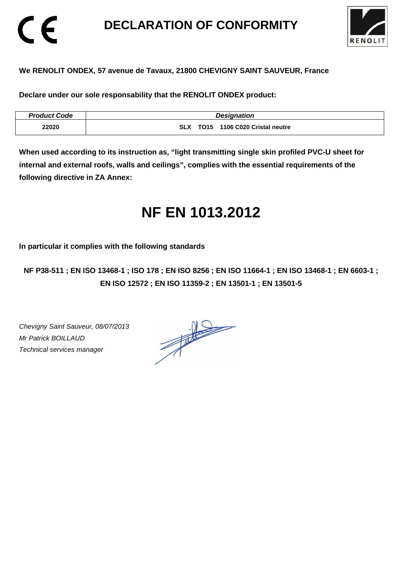### **DECLARATION OF CONFORMITY**



#### **We RENOLIT ONDEX, 57 avenue de Tavaux, 21800 CHEVIGNY SAINT SAUVEUR, France**

**Declare under our sole responsability that the RENOLIT ONDEX product:** 

| <b>Product Code</b> | <b>Designation</b>                             |
|---------------------|------------------------------------------------|
| 22020               | 1106 C020 Cristal neutre<br><b>SLX</b><br>TO15 |

**When used according to its instruction as, "light transmitting single skin profiled PVC-U sheet for internal and external roofs, walls and ceilings", complies with the essential requirements of the following directive in ZA Annex:** 

# **NF EN 1013.2012**

**In particular it complies with the following standards** 

**NF P38-511 ; EN ISO 13468-1 ; ISO 178 ; EN ISO 8256 ; EN ISO 11664-1 ; EN ISO 13468-1 ; EN 6603-1 ; EN ISO 12572 ; EN ISO 11359-2 ; EN 13501-1 ; EN 13501-5**

Chevigny Saint Sauveur, 08/07/2013 Mr Patrick BOILLAUD Technical services manager

CE

 $\frac{1}{\sqrt{2}}$